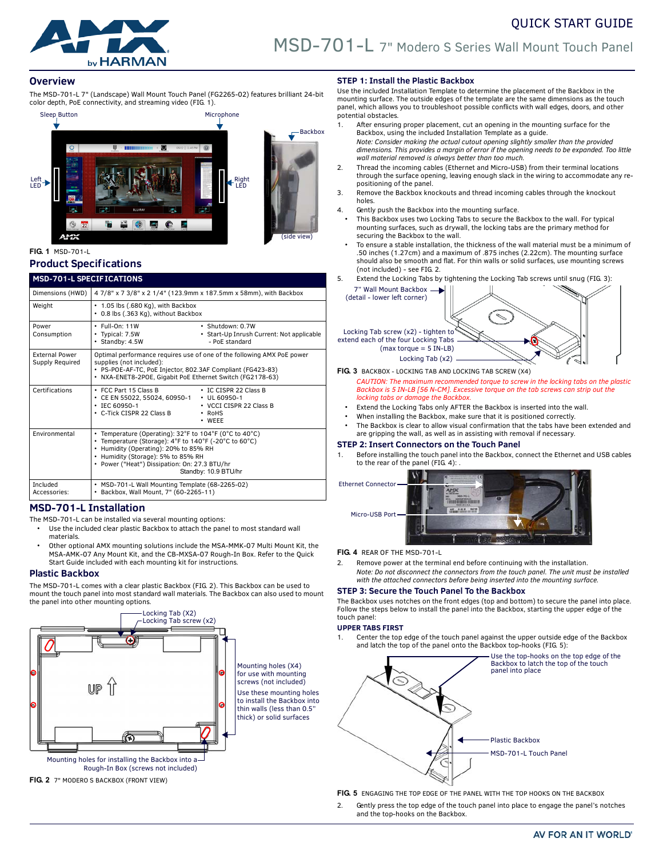

# **Overview**

The MSD-701-L 7" (Landscape) Wall Mount Touch Panel (FG2265-02) features brilliant 24-bit color depth, PoE connectivity, and streaming video (FIG. 1).



# **Product Specifications**

# MCD-701-L SPECIE ICATIONS

| .                                        |                                                                                                                                                                                                                                                                         |  |  |
|------------------------------------------|-------------------------------------------------------------------------------------------------------------------------------------------------------------------------------------------------------------------------------------------------------------------------|--|--|
| Dimensions (HWD)                         | 47/8" x 73/8" x 2 1/4" (123.9mm x 187.5mm x 58mm), with Backbox                                                                                                                                                                                                         |  |  |
| Weight                                   | • 1.05 lbs (.680 Kg), with Backbox<br>• 0.8 lbs (.363 Kg), without Backbox                                                                                                                                                                                              |  |  |
| Power<br>Consumption                     | $\cdot$ Full-On: 11W<br>· Shutdown: 0.7W<br>• Typical: 7.5W<br>• Start-Up Inrush Current: Not applicable<br>- PoE standard<br>· Standby: 4.5W                                                                                                                           |  |  |
| <b>External Power</b><br>Supply Required | Optimal performance requires use of one of the following AMX PoE power<br>supplies (not included):<br>· PS-POE-AF-TC, PoE Injector, 802.3AF Compliant (FG423-83)<br>• NXA-ENET8-2POE, Gigabit PoE Ethernet Switch (FG2178-63)                                           |  |  |
| Certifications                           | • FCC Part 15 Class B<br>• IC CISPR 22 Class B<br>CE EN 55022, 55024, 60950-1<br>$\cdot$ UL 60950-1<br>• IEC 60950-1<br>• VCCI CISPR 22 Class B<br>• C-Tick CISPR 22 Class B<br>$\cdot$ RoHS<br>$\cdot$ WEEE                                                            |  |  |
| Environmental                            | • Temperature (Operating): 32°F to 104°F (0°C to 40°C)<br>• Temperature (Storage): 4°F to 140°F (-20°C to 60°C)<br>• Humidity (Operating): 20% to 85% RH<br>• Humidity (Storage): 5% to 85% RH<br>• Power ("Heat") Dissipation: On: 27.3 BTU/hr<br>Standby: 10.9 BTU/hr |  |  |
| Included<br>Accessories:                 | • MSD-701-L Wall Mounting Template (68-2265-02)<br>• Backbox, Wall Mount, 7" (60-2265-11)                                                                                                                                                                               |  |  |

# **MSD-701-L Installation**

The MSD-701-L can be installed via several mounting options:

- Use the included clear plastic Backbox to attach the panel to most standard wall materials.
- Other optional AMX mounting solutions include the MSA-MMK-07 Multi Mount Kit, the MSA-AMK-07 Any Mount Kit, and the CB-MXSA-07 Rough-In Box. Refer to the Quick Start Guide included with each mounting kit for instructions.

# **Plastic Backbox**

The MSD-701-L comes with a clear plastic Backbox [\(FIG. 2](#page-0-1)). This Backbox can be used to mount the touch panel into most standard wall materials. The Backbox can also used to mount the panel into other mounting options.



<span id="page-0-1"></span>

# **STEP 1: Install the Plastic Backbox**

Use the included Installation Template to determine the placement of the Backbox in the mounting surface. The outside edges of the template are the same dimensions as the touch panel, which allows you to troubleshoot possible conflicts with wall edges, doors, and other potential obstacles.

- 1. After ensuring proper placement, cut an opening in the mounting surface for the Backbox, using the included Installation Template as a guide.
- *Note: Consider making the actual cutout opening slightly smaller than the provided dimensions. This provides a margin of error if the opening needs to be expanded. Too little wall material removed is always better than too much.*
- 2. Thread the incoming cables (Ethernet and Micro-USB) from their terminal locations through the surface opening, leaving enough slack in the wiring to accommodate any repositioning of the panel.
- 3. Remove the Backbox knockouts and thread incoming cables through the knockout holes.
- 4. Gently push the Backbox into the mounting surface.
- This Backbox uses two Locking Tabs to secure the Backbox to the wall. For typical mounting surfaces, such as drywall, the locking tabs are the primary method for securing the Backbox to the wall.
- To ensure a stable installation, the thickness of the wall material must be a minimum of .50 inches (1.27cm) and a maximum of .875 inches (2.22cm). The mounting surface should also be smooth and flat. For thin walls or solid surfaces, use mounting screws (not included) - see [FIG. 2](#page-0-1).
- 5. Extend the Locking Tabs by tightening the Locking Tab screws until snug ([FIG. 3](#page-0-0)): 7" Wall Mount Backbox



<span id="page-0-0"></span>**FIG. 3** BACKBOX - LOCKING TAB AND LOCKING TAB SCREW (X4)

- *CAUTION: The maximum recommended torque to screw in the locking tabs on the plastic Backbox is 5 IN-LB [56 N-CM]. Excessive torque on the tab screws can strip out the locking tabs or damage the Backbox.*
- Extend the Locking Tabs only AFTER the Backbox is inserted into the wall.
- When installing the Backbox, make sure that it is positioned correctly.
- The Backbox is clear to allow visual confirmation that the tabs have been extended and are gripping the wall, as well as in assisting with removal if necessary.

### **STEP 2: Insert Connectors on the Touch Panel**

1. Before installing the touch panel into the Backbox, connect the Ethernet and USB cables to the rear of the panel (FIG. 4):



**FIG. 4** REAR OF THE MSD-701-L

- Remove power at the terminal end before continuing with the installation.
- *Note: Do not disconnect the connectors from the touch panel. The unit must be installed with the attached connectors before being inserted into the mounting surface.*

### **STEP 3: Secure the Touch Panel To the Backbox**

The Backbox uses notches on the front edges (top and bottom) to secure the panel into place. Follow the steps below to install the panel into the Backbox, starting the upper edge of the touch panel:

### **UPPER TABS FIRST**

1. Center the top edge of the touch panel against the upper outside edge of the Backbox and latch the top of the panel onto the Backbox top-hooks ([FIG. 5](#page-0-2)):



<span id="page-0-2"></span>**FIG. 5** ENGAGING THE TOP EDGE OF THE PANEL WITH THE TOP HOOKS ON THE BACKBOX

2. Gently press the top edge of the touch panel into place to engage the panel's notches and the top-hooks on the Backbox.